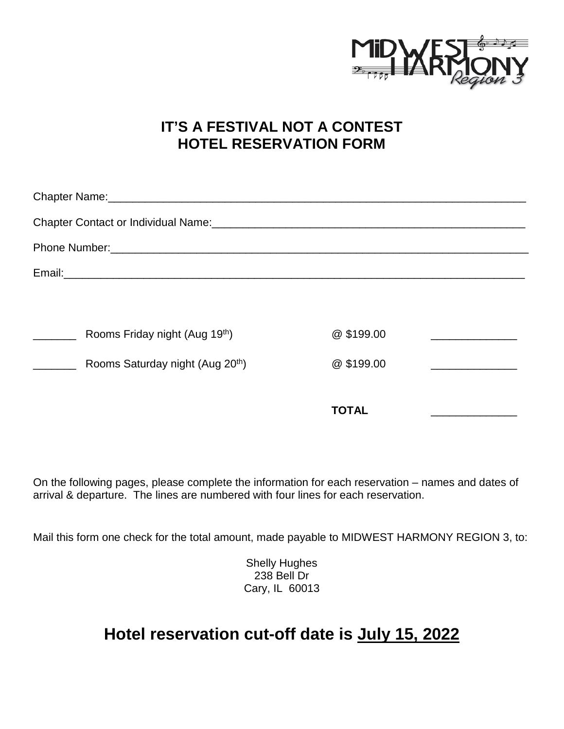

## **IT'S A FESTIVAL NOT A CONTEST HOTEL RESERVATION FORM**

|  | Rooms Friday night (Aug 19 <sup>th</sup> )   | @\$199.00    |  |  |
|--|----------------------------------------------|--------------|--|--|
|  | Rooms Saturday night (Aug 20 <sup>th</sup> ) | @\$199.00    |  |  |
|  |                                              |              |  |  |
|  |                                              | <b>TOTAL</b> |  |  |

On the following pages, please complete the information for each reservation – names and dates of arrival & departure. The lines are numbered with four lines for each reservation.

Mail this form one check for the total amount, made payable to MIDWEST HARMONY REGION 3, to:

Shelly Hughes 238 Bell Dr Cary, IL 60013

## **Hotel reservation cut-off date is July 15, 2022**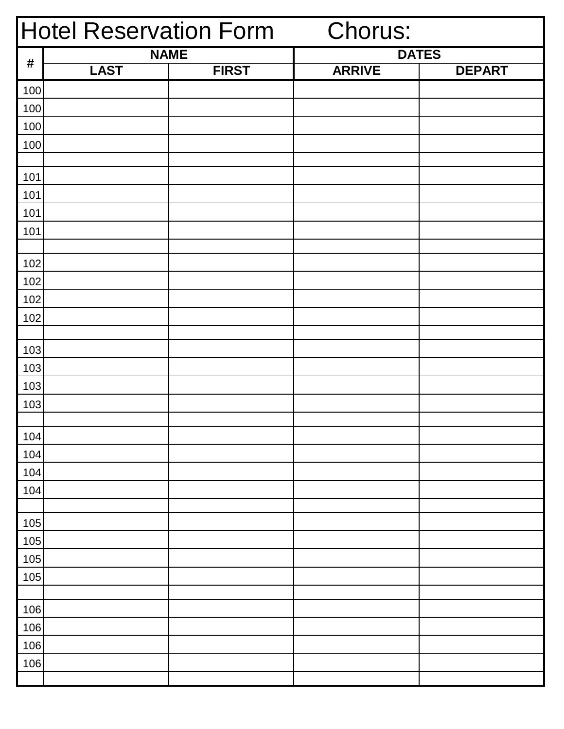| <b>Hotel Reservation Form</b> |             |              | <b>Chorus:</b> |               |
|-------------------------------|-------------|--------------|----------------|---------------|
|                               | <b>NAME</b> |              |                | <b>DATES</b>  |
| $\pmb{\#}$                    | <b>LAST</b> | <b>FIRST</b> | <b>ARRIVE</b>  | <b>DEPART</b> |
| 100                           |             |              |                |               |
| 100                           |             |              |                |               |
| 100                           |             |              |                |               |
| 100                           |             |              |                |               |
|                               |             |              |                |               |
| 101                           |             |              |                |               |
| 101                           |             |              |                |               |
| 101                           |             |              |                |               |
| 101                           |             |              |                |               |
|                               |             |              |                |               |
| 102                           |             |              |                |               |
| 102                           |             |              |                |               |
| 102                           |             |              |                |               |
| 102                           |             |              |                |               |
| 103                           |             |              |                |               |
| 103                           |             |              |                |               |
| 103                           |             |              |                |               |
| 103                           |             |              |                |               |
|                               |             |              |                |               |
| 104                           |             |              |                |               |
| 104                           |             |              |                |               |
| 104                           |             |              |                |               |
| 104                           |             |              |                |               |
|                               |             |              |                |               |
| 105                           |             |              |                |               |
| 105                           |             |              |                |               |
| 105                           |             |              |                |               |
| 105                           |             |              |                |               |
|                               |             |              |                |               |
| 106                           |             |              |                |               |
| 106                           |             |              |                |               |
| 106                           |             |              |                |               |
| 106                           |             |              |                |               |
|                               |             |              |                |               |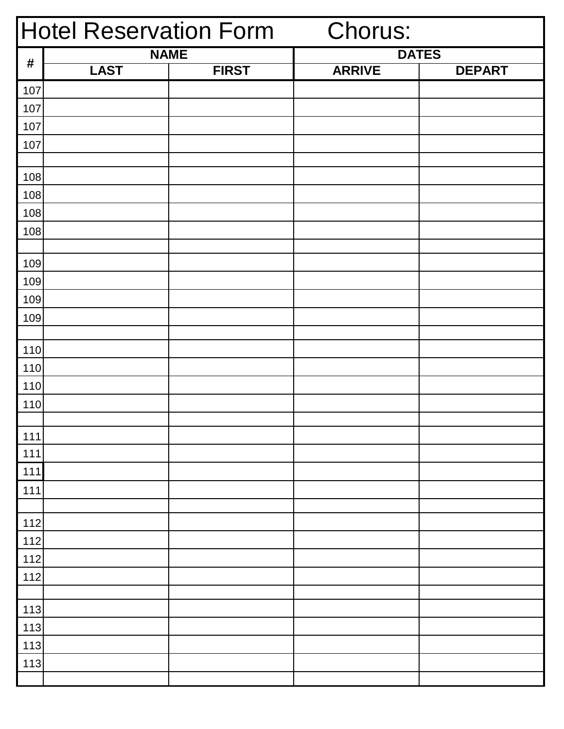|            | <b>Hotel Reservation Form</b> |              | Chorus:       |               |
|------------|-------------------------------|--------------|---------------|---------------|
|            | <b>NAME</b>                   |              |               | <b>DATES</b>  |
| $\pmb{\#}$ | <b>LAST</b>                   | <b>FIRST</b> | <b>ARRIVE</b> | <b>DEPART</b> |
| 107        |                               |              |               |               |
| 107        |                               |              |               |               |
| 107        |                               |              |               |               |
| 107        |                               |              |               |               |
|            |                               |              |               |               |
| 108        |                               |              |               |               |
| 108        |                               |              |               |               |
| 108        |                               |              |               |               |
| 108        |                               |              |               |               |
|            |                               |              |               |               |
| 109        |                               |              |               |               |
| 109        |                               |              |               |               |
| 109        |                               |              |               |               |
| 109        |                               |              |               |               |
|            |                               |              |               |               |
| 110        |                               |              |               |               |
| 110        |                               |              |               |               |
| 110        |                               |              |               |               |
| 110        |                               |              |               |               |
|            |                               |              |               |               |
| 111        |                               |              |               |               |
| 111        |                               |              |               |               |
| 111        |                               |              |               |               |
| 111        |                               |              |               |               |
|            |                               |              |               |               |
| 112        |                               |              |               |               |
| 112        |                               |              |               |               |
| 112        |                               |              |               |               |
| 112        |                               |              |               |               |
|            |                               |              |               |               |
| 113        |                               |              |               |               |
| 113        |                               |              |               |               |
| 113        |                               |              |               |               |
| 113        |                               |              |               |               |
|            |                               |              |               |               |